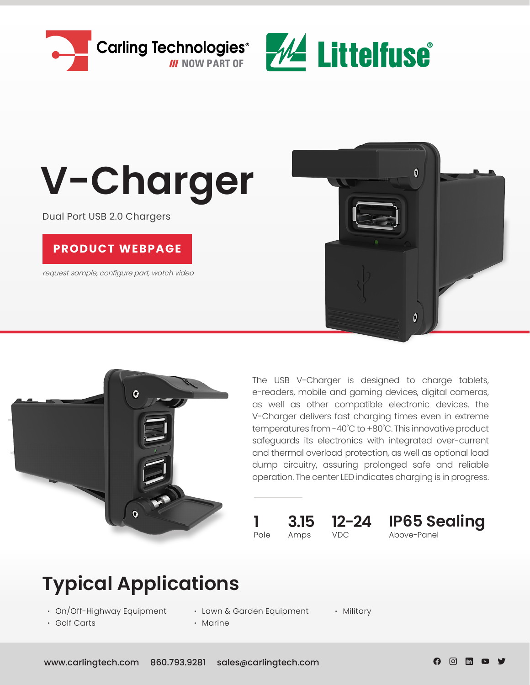



# **V-Charger**

Dual Port USB 2.0 Chargers

#### **PRODUCT WEBPAGE**

request sample, configure part, watch video





The USB V-Charger is designed to charge tablets, e-readers, mobile and gaming devices, digital cameras, as well as other compatible electronic devices. the V-Charger delivers fast charging times even in extreme temperatures from -40˚C to +80˚C. This innovative product safeguards its electronics with integrated over-current and thermal overload protection, as well as optional load dump circuitry, assuring prolonged safe and reliable operation. The center LED indicates charging is in progress.

## Pole Amps VDC

**1 3.15 12-24**

Above-Panel **IP65 Sealing**

## **Typical Applications**

- **∙** On/Off-Highway Equipment
- **∙** Golf Carts

**∙** Lawn & Garden Equipment **∙** Marine

**∙** Military

ල lin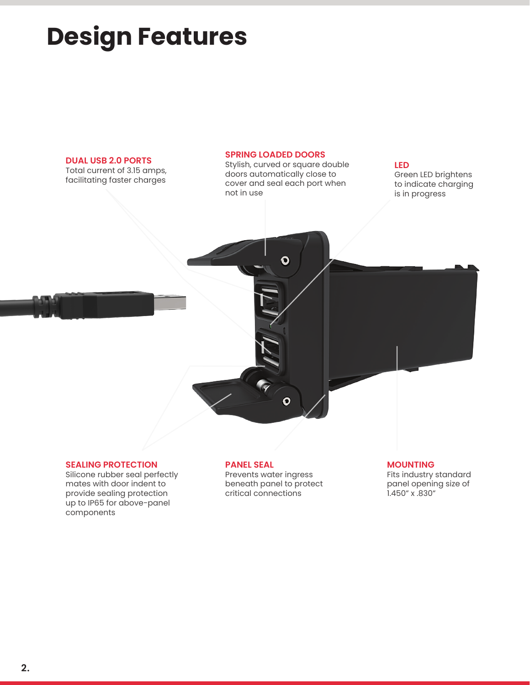## **Design Features**

#### **DUAL USB 2.0 PORTS**

Total current of 3.15 amps, facilitating faster charges

#### **SPRING LOADED DOORS**

Stylish, curved or square double doors automatically close to cover and seal each port when not in use

 $\bullet$ 

 $\overline{\mathbf{o}}$ 

#### **LED**

Green LED brightens to indicate charging is in progress

#### **SEALING PROTECTION**

Silicone rubber seal perfectly mates with door indent to provide sealing protection up to IP65 for above-panel components

#### **PANEL SEAL**

Prevents water ingress beneath panel to protect critical connections

#### **MOUNTING**

Fits industry standard panel opening size of 1.450" x .830"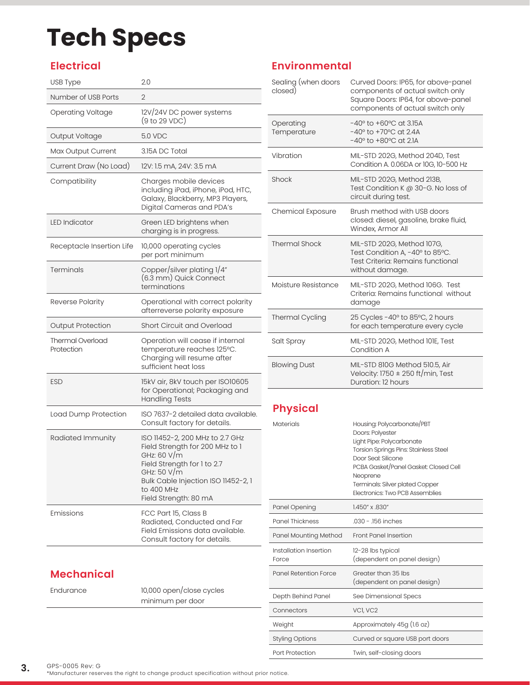## **Tech Specs**

### **Electrical**

| USB Type                              | 2.0                                                                                                                                                                                                           |
|---------------------------------------|---------------------------------------------------------------------------------------------------------------------------------------------------------------------------------------------------------------|
| Number of USB Ports                   | $\overline{2}$                                                                                                                                                                                                |
| <b>Operating Voltage</b>              | 12V/24V DC power systems<br>(9 to 29 VDC)                                                                                                                                                                     |
| Output Voltage                        | 5.0 VDC                                                                                                                                                                                                       |
| Max Output Current                    | 3.15A DC Total                                                                                                                                                                                                |
| Current Draw (No Load)                | 12V: 1.5 mA, 24V: 3.5 mA                                                                                                                                                                                      |
| Compatibility                         | Charges mobile devices<br>including iPad, iPhone, iPod, HTC,<br>Galaxy, Blackberry, MP3 Players,<br>Digital Cameras and PDA's                                                                                 |
| <b>LED Indicator</b>                  | Green LED brightens when<br>charging is in progress.                                                                                                                                                          |
| Receptacle Insertion Life             | 10,000 operating cycles<br>per port minimum                                                                                                                                                                   |
| Terminals                             | Copper/silver plating 1/4"<br>(6.3 mm) Quick Connect<br>terminations                                                                                                                                          |
| Reverse Polarity                      | Operational with correct polarity<br>afterreverse polarity exposure                                                                                                                                           |
| <b>Output Protection</b>              | Short Circuit and Overload                                                                                                                                                                                    |
| <b>Thermal Overload</b><br>Protection | Operation will cease if internal<br>temperature reaches 125°C.<br>Charging will resume after<br>sufficient heat loss                                                                                          |
| <b>ESD</b>                            | 15kV air, 8kV touch per ISO10605<br>for Operational; Packaging and<br><b>Handling Tests</b>                                                                                                                   |
| Load Dump Protection                  | ISO 7637-2 detailed data available.<br>Consult factory for details.                                                                                                                                           |
| Radiated Immunity                     | ISO 11452-2, 200 MHz to 2.7 GHz<br>Field Strength for 200 MHz to 1<br>GHz: 60 V/m<br>Field Strength for 1 to 2.7<br>GHz: 50 V/m<br>Bulk Cable Injection ISO 11452-2, 1<br>to 400 MHz<br>Field Strength: 80 mA |
| Emissions                             | FCC Part 15, Class B<br>Radiated, Conducted and Far<br>Field Emissions data available.<br>Consult factory for details.                                                                                        |

### **Mechanical**

Endurance 10,000 open/close cycles minimum per door

### **Environmental**

| Sealing (when doors<br>closed) | Curved Doors: IP65, for above-panel<br>components of actual switch only<br>Square Doors: IP64, for above-panel<br>components of actual switch only |
|--------------------------------|----------------------------------------------------------------------------------------------------------------------------------------------------|
| Operating<br>Temperature       | $-40^{\circ}$ to $+60^{\circ}$ C at 3.15A<br>$-40^{\circ}$ to $+70^{\circ}$ C at 2.4A<br>$-40^{\circ}$ to $+80^{\circ}$ C at 2.1A                  |
| Vibration                      | MIL-STD 202G, Method 204D, Test<br>Condition A. 0.06DA or 10G, 10-500 Hz                                                                           |
| Shock                          | MIL-STD 202G, Method 213B,<br>Test Condition K @ 30-G. No loss of<br>circuit during test.                                                          |
| <b>Chemical Exposure</b>       | Brush method with USB doors<br>closed: diesel, gasoline, brake fluid,<br>Windex, Armor All                                                         |
| <b>Thermal Shock</b>           | MIL-STD 202G, Method 107G,<br>Test Condition A, -40° to 85°C.<br>Test Criteria: Remains functional<br>without damage.                              |
| Moisture Resistance            | MIL-STD 202G, Method 106G. Test<br>Criteria: Remains functional without<br>damage                                                                  |
| <b>Thermal Cycling</b>         | 25 Cycles -40° to 85°C, 2 hours<br>for each temperature every cycle                                                                                |
| Salt Spray                     | MIL-STD 202G, Method 101E, Test<br>Condition A                                                                                                     |
| <b>Blowing Dust</b>            | MIL-STD 810G Method 510.5, Air<br>Velocity: 1750 $\pm$ 250 ft/min, Test<br>Duration: 12 hours                                                      |

### **Physical**

| Materials                       | Housing: Polycarbonate/PBT<br>Doors: Polyester<br>Light Pipe: Polycarbonate<br>Torsion Springs Pins: Stainless Steel<br>Door Seal: Silicone<br>PCBA Gasket/Panel Gasket: Closed Cell<br>Neoprene<br>Terminals: Silver plated Copper<br><b>Electronics: Two PCB Assemblies</b> |
|---------------------------------|-------------------------------------------------------------------------------------------------------------------------------------------------------------------------------------------------------------------------------------------------------------------------------|
| Panel Opening                   | 1.450" x .830"                                                                                                                                                                                                                                                                |
| Panel Thickness                 | .030 - .156 inches                                                                                                                                                                                                                                                            |
| Panel Mounting Method           | <b>Front Panel Insertion</b>                                                                                                                                                                                                                                                  |
| Installation Insertion<br>Force | 12-28 lbs typical<br>(dependent on panel design)                                                                                                                                                                                                                              |
| Panel Retention Force           | Greater than 35 lbs<br>(dependent on panel design)                                                                                                                                                                                                                            |
| Depth Behind Panel              | See Dimensional Specs                                                                                                                                                                                                                                                         |
| Connectors                      | VCI, VC2                                                                                                                                                                                                                                                                      |
| Weight                          | Approximately 45g (1.6 oz)                                                                                                                                                                                                                                                    |
| <b>Styling Options</b>          | Curved or square USB port doors                                                                                                                                                                                                                                               |
| Port Protection                 | Twin, self-closing doors                                                                                                                                                                                                                                                      |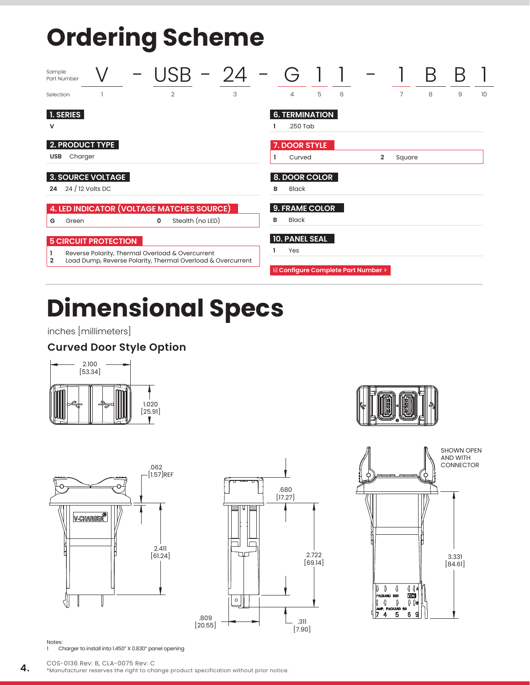## **Ordering Scheme**

| Sample<br>Part Number |                                                                                                                 |  |   |                |                  |   |                       |   |   |                                      |        |   |   |    |
|-----------------------|-----------------------------------------------------------------------------------------------------------------|--|---|----------------|------------------|---|-----------------------|---|---|--------------------------------------|--------|---|---|----|
| Selection             |                                                                                                                 |  |   | $\overline{2}$ |                  | 3 | $\overline{4}$        | 5 | 6 |                                      | 7      | 8 | 9 | 10 |
| 1. SERIES             |                                                                                                                 |  |   |                |                  |   | <b>6. TERMINATION</b> |   |   |                                      |        |   |   |    |
| v                     |                                                                                                                 |  |   |                |                  |   | $.250$ Tab            |   |   |                                      |        |   |   |    |
|                       | 2. PRODUCT TYPE                                                                                                 |  |   |                |                  |   | 7. DOOR STYLE         |   |   |                                      |        |   |   |    |
| USB                   | Charger                                                                                                         |  |   |                |                  |   | Curved                |   |   | $\overline{2}$                       | Square |   |   |    |
|                       | 3. SOURCE VOLTAGE                                                                                               |  |   |                |                  |   | 8. DOOR COLOR         |   |   |                                      |        |   |   |    |
| 24                    | $24/12$ Volts DC                                                                                                |  |   |                |                  |   | <b>Black</b><br>в     |   |   |                                      |        |   |   |    |
|                       | 4. LED INDICATOR (VOLTAGE MATCHES SOURCE)                                                                       |  |   |                |                  |   | 9. FRAME COLOR        |   |   |                                      |        |   |   |    |
| G                     | Green                                                                                                           |  | 0 |                | Stealth (no LED) |   | <b>Black</b><br>в     |   |   |                                      |        |   |   |    |
|                       | <b>5 CIRCUIT PROTECTION</b>                                                                                     |  |   |                |                  |   | <b>10. PANEL SEAL</b> |   |   |                                      |        |   |   |    |
| 2                     | Reverse Polarity, Thermal Overload & Overcurrent<br>Load Dump, Reverse Polarity, Thermal Overload & Overcurrent |  |   |                |                  |   | Yes                   |   |   |                                      |        |   |   |    |
|                       |                                                                                                                 |  |   |                |                  |   |                       |   |   | it® Configure Complete Part Number > |        |   |   |    |

## **Dimensional Specs**

inches [millimeters]

#### **Curved Door Style Option**











Notes:

1 Charger to install into 1.450" X 0.830" panel opening

**4.** \*Manufacturer reserves the right to change product specification without prior notice.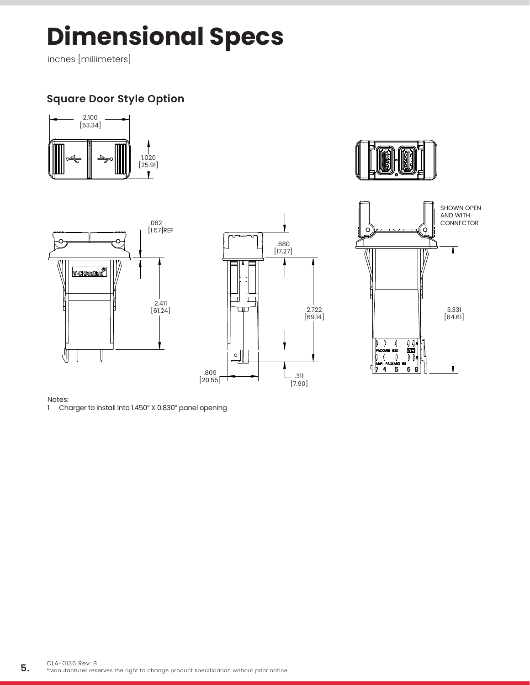## **Dimensional Specs**

inches [millimeters]

### **Square Door Style Option**











#### Notes:

1 Charger to install into 1.450" X 0.830" panel opening